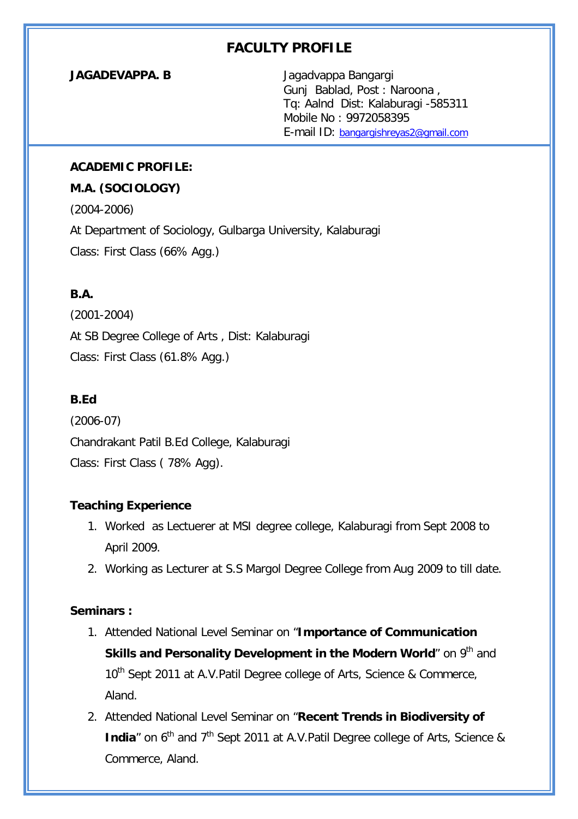# **FACULTY PROFILE**

**JAGADEVAPPA. B** Jagadvappa Bangargi Gunj Bablad, Post : Naroona , Tq: Aalnd Dist: Kalaburagi -585311 Mobile No : 9972058395 E-mail ID: bangargishreyas2@gmail.com

#### **ACADEMIC PROFILE:**

#### **M.A. (SOCIOLOGY)**

(2004-2006) At Department of Sociology, Gulbarga University, Kalaburagi Class: First Class (66% Agg.)

# **B.A.**

(2001-2004) At SB Degree College of Arts , Dist: Kalaburagi Class: First Class (61.8% Agg.)

## **B.Ed**

(2006-07) Chandrakant Patil B.Ed College, Kalaburagi Class: First Class ( 78% Agg).

### **Teaching Experience**

- 1. Worked as Lectuerer at MSI degree college, Kalaburagi from Sept 2008 to April 2009.
- 2. Working as Lecturer at S.S Margol Degree College from Aug 2009 to till date.

### **Seminars :**

- 1. Attended National Level Seminar on "**Importance of Communication Skills and Personality Development in the Modern World**" on 9<sup>th</sup> and 10<sup>th</sup> Sept 2011 at A.V.Patil Degree college of Arts, Science & Commerce, Aland.
- 2. Attended National Level Seminar on "**Recent Trends in Biodiversity of India**" on 6<sup>th</sup> and 7<sup>th</sup> Sept 2011 at A.V.Patil Degree college of Arts, Science & Commerce, Aland.